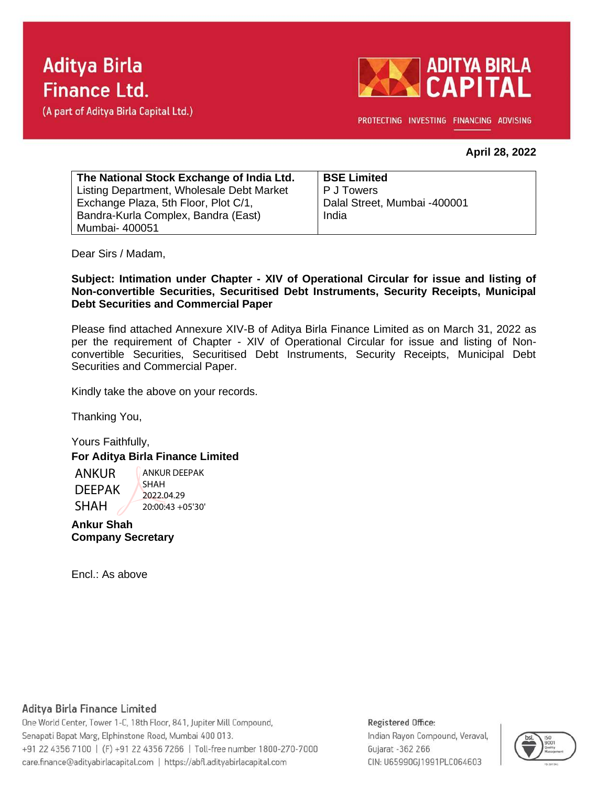(A part of Aditya Birla Capital Ltd.)



PROTECTING INVESTING FINANCING ADVISING

### **April 28, 2022**

| The National Stock Exchange of India Ltd. | <b>BSE Limited</b>           |
|-------------------------------------------|------------------------------|
| Listing Department, Wholesale Debt Market | P J Towers                   |
| Exchange Plaza, 5th Floor, Plot C/1,      | Dalal Street, Mumbai -400001 |
| Bandra-Kurla Complex, Bandra (East)       | India                        |
| Mumbai- 400051                            |                              |

Dear Sirs / Madam,

### **Subject: Intimation under Chapter - XIV of Operational Circular for issue and listing of Non-convertible Securities, Securitised Debt Instruments, Security Receipts, Municipal Debt Securities and Commercial Paper**

Please find attached Annexure XIV-B of Aditya Birla Finance Limited as on March 31, 2022 as per the requirement of Chapter - XIV of Operational Circular for issue and listing of Nonconvertible Securities, Securitised Debt Instruments, Security Receipts, Municipal Debt Securities and Commercial Paper.

Kindly take the above on your records.

Thanking You,

Yours Faithfully, **For Aditya Birla Finance Limited**

ANKUR DEEPAK SHAH ANKUR DEEPAK SHAH 2022.04.29 20:00:43 +05'30'

**Ankur Shah Company Secretary**

Encl.: As above

### Aditya Birla Finance Limited

One World Center, Tower 1-C, 18th Floor, 841, Jupiter Mill Compound, Senapati Bapat Marg, Elphinstone Road, Mumbai 400 013. +91 22 4356 7100 | (F) +91 22 4356 7266 | Toll-free number 1800-270-7000 care.finance@adityabirlacapital.com | https://abfl.adityabirlacapital.com

#### Registered Office:

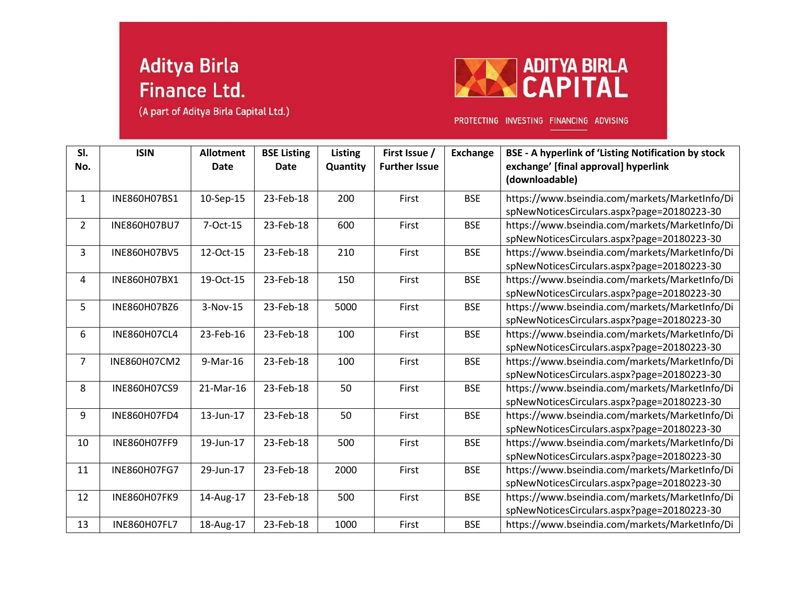(A part of Aditya Birla Capital Ltd.)



PROTECTING INVESTING FINANCING ADVISING

| SI.<br>No.     | <b>ISIN</b>         | <b>Allotment</b><br>Date | <b>BSE Listing</b><br><b>Date</b> | <b>Listing</b><br>Quantity | First Issue /<br><b>Further Issue</b> | <b>Exchange</b> | <b>BSE - A hyperlink of 'Listing Notification by stock</b><br>exchange' [final approval] hyperlink<br>(downloadable) |
|----------------|---------------------|--------------------------|-----------------------------------|----------------------------|---------------------------------------|-----------------|----------------------------------------------------------------------------------------------------------------------|
| $\mathbf{1}$   | INE860H07BS1        | 10-Sep-15                | 23-Feb-18                         | 200                        | First                                 | <b>BSE</b>      | https://www.bseindia.com/markets/MarketInfo/Di<br>spNewNoticesCirculars.aspx?page=20180223-30                        |
| $\overline{2}$ | INE860H07BU7        | 7-Oct-15                 | 23-Feb-18                         | 600                        | First                                 | <b>BSE</b>      | https://www.bseindia.com/markets/MarketInfo/Di<br>spNewNoticesCirculars.aspx?page=20180223-30                        |
| 3              | INE860H07BV5        | 12-Oct-15                | 23-Feb-18                         | 210                        | First                                 | <b>BSE</b>      | https://www.bseindia.com/markets/MarketInfo/Di<br>spNewNoticesCirculars.aspx?page=20180223-30                        |
| 4              | INE860H07BX1        | 19-Oct-15                | 23-Feb-18                         | 150                        | First                                 | <b>BSE</b>      | https://www.bseindia.com/markets/MarketInfo/Di<br>spNewNoticesCirculars.aspx?page=20180223-30                        |
| 5              | INE860H07BZ6        | 3-Nov-15                 | 23-Feb-18                         | 5000                       | First                                 | <b>BSE</b>      | https://www.bseindia.com/markets/MarketInfo/Di<br>spNewNoticesCirculars.aspx?page=20180223-30                        |
| 6              | INE860H07CL4        | 23-Feb-16                | 23-Feb-18                         | 100                        | First                                 | <b>BSE</b>      | https://www.bseindia.com/markets/MarketInfo/Di<br>spNewNoticesCirculars.aspx?page=20180223-30                        |
| $\overline{7}$ | INE860H07CM2        | 9-Mar-16                 | 23-Feb-18                         | 100                        | First                                 | <b>BSE</b>      | https://www.bseindia.com/markets/MarketInfo/Di<br>spNewNoticesCirculars.aspx?page=20180223-30                        |
| 8              | INE860H07CS9        | 21-Mar-16                | 23-Feb-18                         | 50                         | First                                 | <b>BSE</b>      | https://www.bseindia.com/markets/MarketInfo/Di<br>spNewNoticesCirculars.aspx?page=20180223-30                        |
| 9              | INE860H07FD4        | 13-Jun-17                | 23-Feb-18                         | 50                         | First                                 | <b>BSE</b>      | https://www.bseindia.com/markets/MarketInfo/Di<br>spNewNoticesCirculars.aspx?page=20180223-30                        |
| 10             | INE860H07FF9        | 19-Jun-17                | 23-Feb-18                         | 500                        | First                                 | <b>BSE</b>      | https://www.bseindia.com/markets/MarketInfo/Di<br>spNewNoticesCirculars.aspx?page=20180223-30                        |
| 11             | INE860H07FG7        | 29-Jun-17                | 23-Feb-18                         | 2000                       | First                                 | <b>BSE</b>      | https://www.bseindia.com/markets/MarketInfo/Di<br>spNewNoticesCirculars.aspx?page=20180223-30                        |
| 12             | <b>INE860H07FK9</b> | 14-Aug-17                | 23-Feb-18                         | 500                        | First                                 | <b>BSE</b>      | https://www.bseindia.com/markets/MarketInfo/Di<br>spNewNoticesCirculars.aspx?page=20180223-30                        |
| 13             | INE860H07FL7        | 18-Aug-17                | 23-Feb-18                         | 1000                       | First                                 | <b>BSE</b>      | https://www.bseindia.com/markets/MarketInfo/Di                                                                       |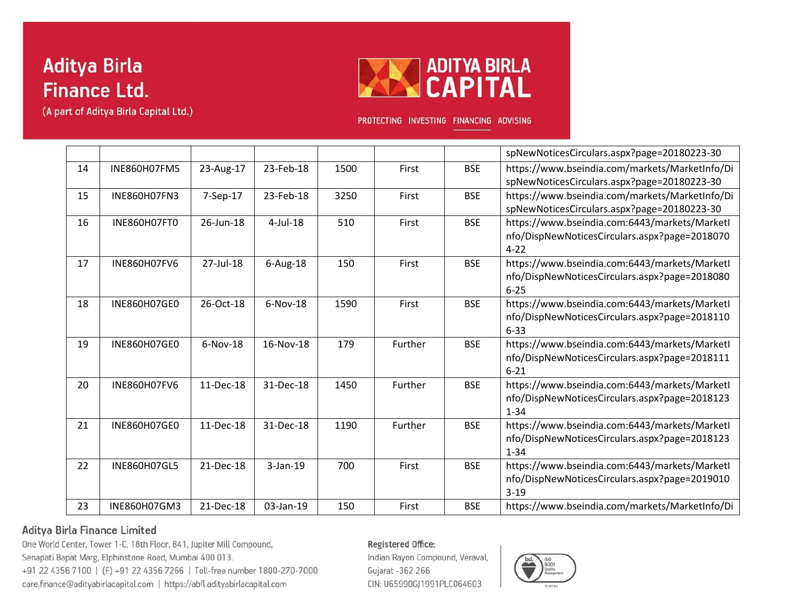(A part of Aditya Birla Capital Ltd.)



PROTECTING INVESTING FINANCING ADVISING

|    |                     |            |             |      |         |            | spNewNoticesCirculars.aspx?page=20180223-30    |
|----|---------------------|------------|-------------|------|---------|------------|------------------------------------------------|
| 14 | <b>INE860H07FM5</b> | 23-Aug-17  | 23-Feb-18   | 1500 | First   | <b>BSE</b> | https://www.bseindia.com/markets/MarketInfo/Di |
|    |                     |            |             |      |         |            | spNewNoticesCirculars.aspx?page=20180223-30    |
| 15 | <b>INE860H07FN3</b> | 7-Sep-17   | 23-Feb-18   | 3250 | First   | <b>BSE</b> | https://www.bseindia.com/markets/MarketInfo/Di |
|    |                     |            |             |      |         |            | spNewNoticesCirculars.aspx?page=20180223-30    |
| 16 | INE860H07FT0        | 26-Jun-18  | $4$ -Jul-18 | 510  | First   | <b>BSE</b> | https://www.bseindia.com:6443/markets/MarketI  |
|    |                     |            |             |      |         |            | nfo/DispNewNoticesCirculars.aspx?page=2018070  |
|    |                     |            |             |      |         |            | $4 - 22$                                       |
| 17 | <b>INE860H07FV6</b> | 27-Jul-18  | $6$ -Aug-18 | 150  | First   | <b>BSE</b> | https://www.bseindia.com:6443/markets/MarketI  |
|    |                     |            |             |      |         |            | nfo/DispNewNoticesCirculars.aspx?page=2018080  |
|    |                     |            |             |      |         |            | $6 - 25$                                       |
| 18 | INE860H07GE0        | 26-Oct-18  | $6-Nov-18$  | 1590 | First   | <b>BSE</b> | https://www.bseindia.com:6443/markets/MarketI  |
|    |                     |            |             |      |         |            | nfo/DispNewNoticesCirculars.aspx?page=2018110  |
|    |                     |            |             |      |         |            | $6 - 33$                                       |
| 19 | <b>INE860H07GE0</b> | $6-Nov-18$ | 16-Nov-18   | 179  | Further | <b>BSE</b> | https://www.bseindia.com:6443/markets/MarketI  |
|    |                     |            |             |      |         |            | nfo/DispNewNoticesCirculars.aspx?page=2018111  |
|    |                     |            |             |      |         |            | $6 - 21$                                       |
| 20 | <b>INE860H07FV6</b> | 11-Dec-18  | 31-Dec-18   | 1450 | Further | <b>BSE</b> | https://www.bseindia.com:6443/markets/Marketl  |
|    |                     |            |             |      |         |            | nfo/DispNewNoticesCirculars.aspx?page=2018123  |
|    |                     |            |             |      |         |            | $1 - 34$                                       |
| 21 | INE860H07GE0        | 11-Dec-18  | 31-Dec-18   | 1190 | Further | <b>BSE</b> | https://www.bseindia.com:6443/markets/MarketI  |
|    |                     |            |             |      |         |            | nfo/DispNewNoticesCirculars.aspx?page=2018123  |
|    |                     |            |             |      |         |            | $1 - 34$                                       |
| 22 | <b>INE860H07GL5</b> | 21-Dec-18  | $3-Jan-19$  | 700  | First   | <b>BSE</b> | https://www.bseindia.com:6443/markets/MarketI  |
|    |                     |            |             |      |         |            | nfo/DispNewNoticesCirculars.aspx?page=2019010  |
|    |                     |            |             |      |         |            | $3 - 19$                                       |
| 23 | INE860H07GM3        | 21-Dec-18  | 03-Jan-19   | 150  | First   | <b>BSE</b> | https://www.bseindia.com/markets/MarketInfo/Di |

### Aditya Birla Finance Limited

One World Center, Tower 1-C, 18th Floor, 841, Jupiter Mill Compound, Senapati Bapat Marg, Elphinstone Road, Mumbai 400 013. +91 22 4356 7100 | (F) +91 22 4356 7266 | Toll-free number 1800-270-7000 care.finance@adityabirlacapital.com | https://abfl.adityabirlacapital.com

Registered Office:

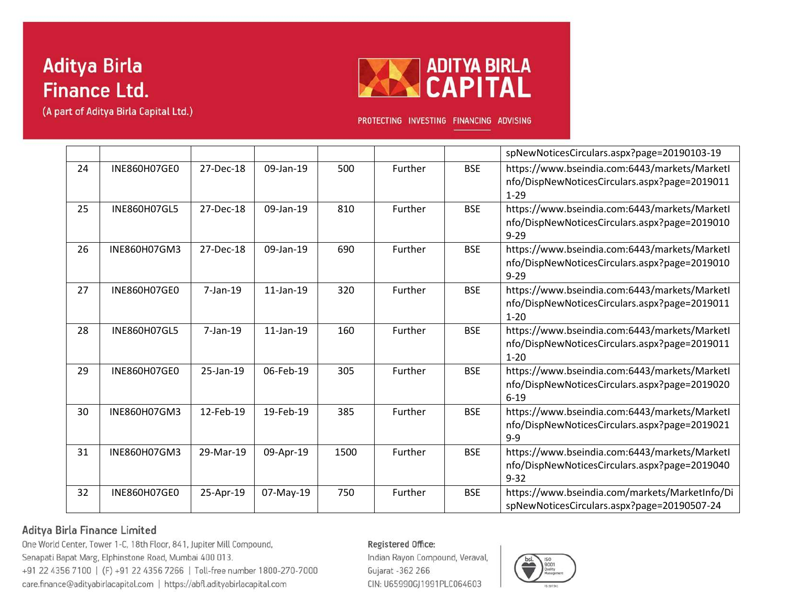(A part of Aditya Birla Capital Ltd.)



PROTECTING INVESTING FINANCING ADVISING

|    |                     |             |                 |      |         |            | spNewNoticesCirculars.aspx?page=20190103-19                                                                |
|----|---------------------|-------------|-----------------|------|---------|------------|------------------------------------------------------------------------------------------------------------|
| 24 | INE860H07GE0        | 27-Dec-18   | 09-Jan-19       | 500  | Further | <b>BSE</b> | https://www.bseindia.com:6443/markets/Marketl<br>nfo/DispNewNoticesCirculars.aspx?page=2019011<br>$1 - 29$ |
| 25 | <b>INE860H07GL5</b> | 27-Dec-18   | 09-Jan-19       | 810  | Further | <b>BSE</b> | https://www.bseindia.com:6443/markets/Marketl<br>nfo/DispNewNoticesCirculars.aspx?page=2019010<br>$9 - 29$ |
| 26 | INE860H07GM3        | 27-Dec-18   | 09-Jan-19       | 690  | Further | <b>BSE</b> | https://www.bseindia.com:6443/markets/MarketI<br>nfo/DispNewNoticesCirculars.aspx?page=2019010<br>$9 - 29$ |
| 27 | INE860H07GE0        | $7$ -Jan-19 | $11$ -Jan- $19$ | 320  | Further | <b>BSE</b> | https://www.bseindia.com:6443/markets/Marketl<br>nfo/DispNewNoticesCirculars.aspx?page=2019011<br>$1 - 20$ |
| 28 | <b>INE860H07GL5</b> | $7$ -Jan-19 | $11$ -Jan-19    | 160  | Further | <b>BSE</b> | https://www.bseindia.com:6443/markets/Marketl<br>nfo/DispNewNoticesCirculars.aspx?page=2019011<br>$1 - 20$ |
| 29 | <b>INE860H07GE0</b> | 25-Jan-19   | 06-Feb-19       | 305  | Further | <b>BSE</b> | https://www.bseindia.com:6443/markets/Marketl<br>nfo/DispNewNoticesCirculars.aspx?page=2019020<br>$6 - 19$ |
| 30 | INE860H07GM3        | 12-Feb-19   | 19-Feb-19       | 385  | Further | <b>BSE</b> | https://www.bseindia.com:6443/markets/Marketl<br>nfo/DispNewNoticesCirculars.aspx?page=2019021<br>$9 - 9$  |
| 31 | INE860H07GM3        | 29-Mar-19   | 09-Apr-19       | 1500 | Further | <b>BSE</b> | https://www.bseindia.com:6443/markets/Marketl<br>nfo/DispNewNoticesCirculars.aspx?page=2019040<br>$9 - 32$ |
| 32 | <b>INE860H07GE0</b> | 25-Apr-19   | 07-May-19       | 750  | Further | <b>BSE</b> | https://www.bseindia.com/markets/MarketInfo/Di<br>spNewNoticesCirculars.aspx?page=20190507-24              |

### Aditya Birla Finance Limited

One World Center, Tower 1-C, 18th Floor, 841, Jupiter Mill Compound, Senapati Bapat Marg, Elphinstone Road, Mumbai 400 013. +91 22 4356 7100 | (F) +91 22 4356 7266 | Toll-free number 1800-270-7000 care.finance@adityabirlacapital.com | https://abfl.adityabirlacapital.com

#### Registered Office:

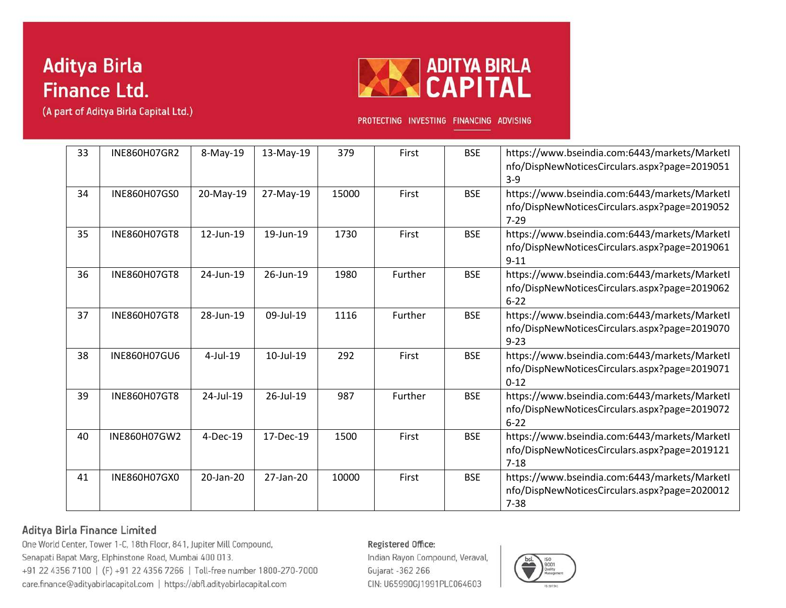



PROTECTING INVESTING FINANCING ADVISING

| 33 | INE860H07GR2        | 8-May-19    | 13-May-19 | 379   | First   | <b>BSE</b> | https://www.bseindia.com:6443/markets/MarketI<br>nfo/DispNewNoticesCirculars.aspx?page=2019051<br>$3 - 9$  |
|----|---------------------|-------------|-----------|-------|---------|------------|------------------------------------------------------------------------------------------------------------|
| 34 | INE860H07GS0        | 20-May-19   | 27-May-19 | 15000 | First   | <b>BSE</b> | https://www.bseindia.com:6443/markets/Marketl<br>nfo/DispNewNoticesCirculars.aspx?page=2019052<br>$7 - 29$ |
| 35 | <b>INE860H07GT8</b> | 12-Jun-19   | 19-Jun-19 | 1730  | First   | <b>BSE</b> | https://www.bseindia.com:6443/markets/Marketl<br>nfo/DispNewNoticesCirculars.aspx?page=2019061<br>$9 - 11$ |
| 36 | <b>INE860H07GT8</b> | 24-Jun-19   | 26-Jun-19 | 1980  | Further | <b>BSE</b> | https://www.bseindia.com:6443/markets/Marketl<br>nfo/DispNewNoticesCirculars.aspx?page=2019062<br>$6 - 22$ |
| 37 | INE860H07GT8        | 28-Jun-19   | 09-Jul-19 | 1116  | Further | <b>BSE</b> | https://www.bseindia.com:6443/markets/MarketI<br>nfo/DispNewNoticesCirculars.aspx?page=2019070<br>$9 - 23$ |
| 38 | <b>INE860H07GU6</b> | $4$ -Jul-19 | 10-Jul-19 | 292   | First   | <b>BSE</b> | https://www.bseindia.com:6443/markets/MarketI<br>nfo/DispNewNoticesCirculars.aspx?page=2019071<br>$0 - 12$ |
| 39 | <b>INE860H07GT8</b> | 24-Jul-19   | 26-Jul-19 | 987   | Further | <b>BSE</b> | https://www.bseindia.com:6443/markets/Marketl<br>nfo/DispNewNoticesCirculars.aspx?page=2019072<br>$6 - 22$ |
| 40 | INE860H07GW2        | 4-Dec-19    | 17-Dec-19 | 1500  | First   | <b>BSE</b> | https://www.bseindia.com:6443/markets/Marketl<br>nfo/DispNewNoticesCirculars.aspx?page=2019121<br>$7 - 18$ |
| 41 | <b>INE860H07GX0</b> | 20-Jan-20   | 27-Jan-20 | 10000 | First   | <b>BSE</b> | https://www.bseindia.com:6443/markets/MarketI<br>nfo/DispNewNoticesCirculars.aspx?page=2020012<br>$7 - 38$ |

### Aditya Birla Finance Limited

One World Center, Tower 1-C, 18th Floor, 841, Jupiter Mill Compound, Senapati Bapat Marg, Elphinstone Road, Mumbai 400 013. +91 22 4356 7100 | (F) +91 22 4356 7266 | Toll-free number 1800-270-7000 care.finance@adityabirlacapital.com | https://abfl.adityabirlacapital.com

#### Registered Office:

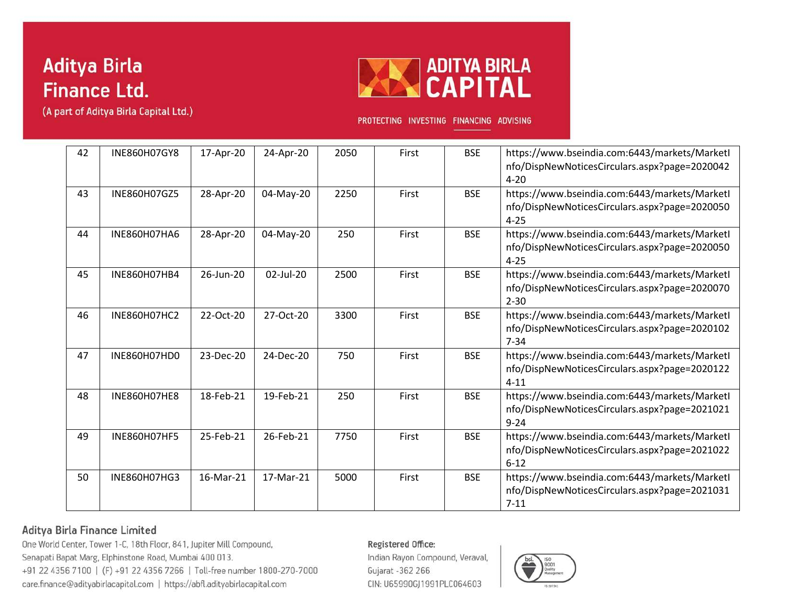



PROTECTING INVESTING FINANCING ADVISING

| 42 | INE860H07GY8        | 17-Apr-20 | 24-Apr-20 | 2050 | First | <b>BSE</b> | https://www.bseindia.com:6443/markets/MarketI<br>nfo/DispNewNoticesCirculars.aspx?page=2020042<br>$4 - 20$ |
|----|---------------------|-----------|-----------|------|-------|------------|------------------------------------------------------------------------------------------------------------|
| 43 | INE860H07GZ5        | 28-Apr-20 | 04-May-20 | 2250 | First | <b>BSE</b> | https://www.bseindia.com:6443/markets/MarketI<br>nfo/DispNewNoticesCirculars.aspx?page=2020050<br>$4 - 25$ |
| 44 | <b>INE860H07HA6</b> | 28-Apr-20 | 04-May-20 | 250  | First | <b>BSE</b> | https://www.bseindia.com:6443/markets/Marketl<br>nfo/DispNewNoticesCirculars.aspx?page=2020050<br>$4 - 25$ |
| 45 | INE860H07HB4        | 26-Jun-20 | 02-Jul-20 | 2500 | First | <b>BSE</b> | https://www.bseindia.com:6443/markets/Marketl<br>nfo/DispNewNoticesCirculars.aspx?page=2020070<br>$2 - 30$ |
| 46 | INE860H07HC2        | 22-Oct-20 | 27-Oct-20 | 3300 | First | <b>BSE</b> | https://www.bseindia.com:6443/markets/MarketI<br>nfo/DispNewNoticesCirculars.aspx?page=2020102<br>$7 - 34$ |
| 47 | INE860H07HD0        | 23-Dec-20 | 24-Dec-20 | 750  | First | <b>BSE</b> | https://www.bseindia.com:6443/markets/MarketI<br>nfo/DispNewNoticesCirculars.aspx?page=2020122<br>$4 - 11$ |
| 48 | <b>INE860H07HE8</b> | 18-Feb-21 | 19-Feb-21 | 250  | First | <b>BSE</b> | https://www.bseindia.com:6443/markets/Marketl<br>nfo/DispNewNoticesCirculars.aspx?page=2021021<br>$9 - 24$ |
| 49 | <b>INE860H07HF5</b> | 25-Feb-21 | 26-Feb-21 | 7750 | First | <b>BSE</b> | https://www.bseindia.com:6443/markets/Marketl<br>nfo/DispNewNoticesCirculars.aspx?page=2021022<br>$6 - 12$ |
| 50 | INE860H07HG3        | 16-Mar-21 | 17-Mar-21 | 5000 | First | <b>BSE</b> | https://www.bseindia.com:6443/markets/MarketI<br>nfo/DispNewNoticesCirculars.aspx?page=2021031<br>$7 - 11$ |

### Aditya Birla Finance Limited

One World Center, Tower 1-C, 18th Floor, 841, Jupiter Mill Compound, Senapati Bapat Marg, Elphinstone Road, Mumbai 400 013. +91 22 4356 7100 | (F) +91 22 4356 7266 | Toll-free number 1800-270-7000 care.finance@adityabirlacapital.com | https://abfl.adityabirlacapital.com

#### Registered Office:

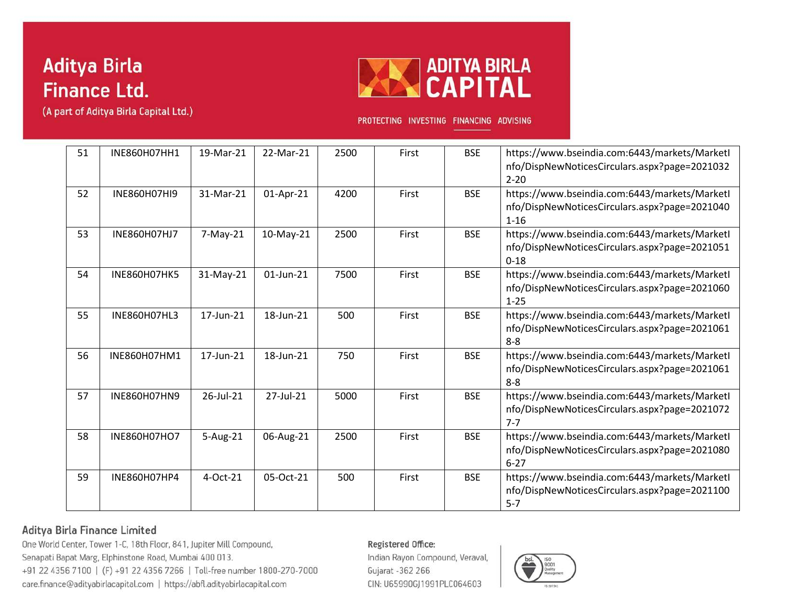



PROTECTING INVESTING FINANCING ADVISING

| 51 | INE860H07HH1        | 19-Mar-21       | 22-Mar-21    | 2500 | First | <b>BSE</b> | https://www.bseindia.com:6443/markets/MarketI<br>nfo/DispNewNoticesCirculars.aspx?page=2021032<br>$2 - 20$ |
|----|---------------------|-----------------|--------------|------|-------|------------|------------------------------------------------------------------------------------------------------------|
| 52 | INE860H07HI9        | 31-Mar-21       | 01-Apr-21    | 4200 | First | <b>BSE</b> | https://www.bseindia.com:6443/markets/Marketl<br>nfo/DispNewNoticesCirculars.aspx?page=2021040<br>$1 - 16$ |
| 53 | <b>INE860H07HJ7</b> | $7-May-21$      | 10-May-21    | 2500 | First | <b>BSE</b> | https://www.bseindia.com:6443/markets/MarketI<br>nfo/DispNewNoticesCirculars.aspx?page=2021051<br>$0 - 18$ |
| 54 | <b>INE860H07HK5</b> | 31-May-21       | $01$ -Jun-21 | 7500 | First | <b>BSE</b> | https://www.bseindia.com:6443/markets/Marketl<br>nfo/DispNewNoticesCirculars.aspx?page=2021060<br>$1 - 25$ |
| 55 | INE860H07HL3        | 17-Jun-21       | 18-Jun-21    | 500  | First | <b>BSE</b> | https://www.bseindia.com:6443/markets/MarketI<br>nfo/DispNewNoticesCirculars.aspx?page=2021061<br>$8 - 8$  |
| 56 | INE860H07HM1        | 17-Jun-21       | 18-Jun-21    | 750  | First | <b>BSE</b> | https://www.bseindia.com:6443/markets/MarketI<br>nfo/DispNewNoticesCirculars.aspx?page=2021061<br>$8 - 8$  |
| 57 | INE860H07HN9        | $26$ -Jul- $21$ | 27-Jul-21    | 5000 | First | <b>BSE</b> | https://www.bseindia.com:6443/markets/Marketl<br>nfo/DispNewNoticesCirculars.aspx?page=2021072<br>$7 - 7$  |
| 58 | INE860H07HO7        | 5-Aug-21        | 06-Aug-21    | 2500 | First | <b>BSE</b> | https://www.bseindia.com:6443/markets/Marketl<br>nfo/DispNewNoticesCirculars.aspx?page=2021080<br>$6 - 27$ |
| 59 | INE860H07HP4        | 4-Oct-21        | 05-Oct-21    | 500  | First | <b>BSE</b> | https://www.bseindia.com:6443/markets/MarketI<br>nfo/DispNewNoticesCirculars.aspx?page=2021100<br>$5 - 7$  |

### Aditya Birla Finance Limited

One World Center, Tower 1-C, 18th Floor, 841, Jupiter Mill Compound, Senapati Bapat Marg, Elphinstone Road, Mumbai 400 013. +91 22 4356 7100 | (F) +91 22 4356 7266 | Toll-free number 1800-270-7000 care.finance@adityabirlacapital.com | https://abfl.adityabirlacapital.com

#### Registered Office:

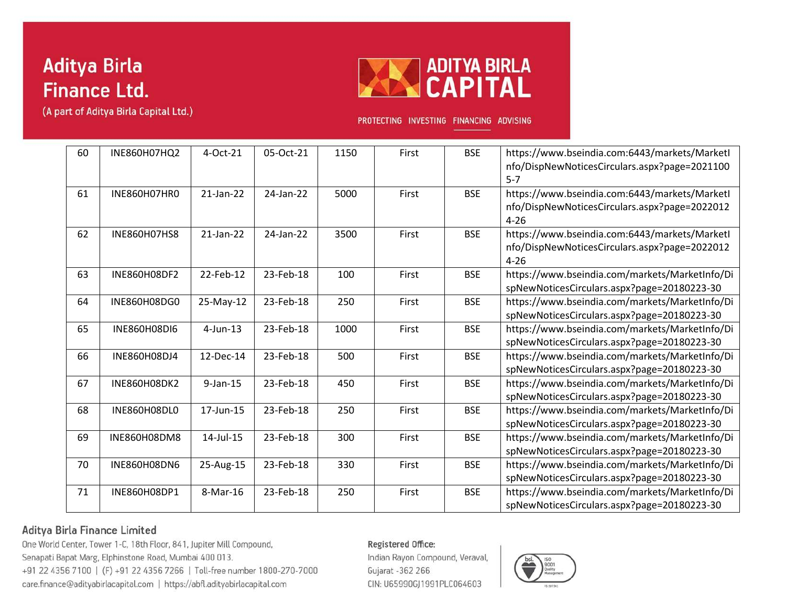(A part of Aditya Birla Capital Ltd.)



PROTECTING INVESTING FINANCING ADVISING

| 60 | INE860H07HQ2        | 4-Oct-21        | 05-Oct-21 | 1150 | First | <b>BSE</b> | https://www.bseindia.com:6443/markets/MarketI<br>nfo/DispNewNoticesCirculars.aspx?page=2021100<br>$5 - 7$  |
|----|---------------------|-----------------|-----------|------|-------|------------|------------------------------------------------------------------------------------------------------------|
| 61 | INE860H07HR0        | 21-Jan-22       | 24-Jan-22 | 5000 | First | <b>BSE</b> | https://www.bseindia.com:6443/markets/Marketl<br>nfo/DispNewNoticesCirculars.aspx?page=2022012<br>$4 - 26$ |
| 62 | <b>INE860H07HS8</b> | $21$ -Jan- $22$ | 24-Jan-22 | 3500 | First | <b>BSE</b> | https://www.bseindia.com:6443/markets/Marketl<br>nfo/DispNewNoticesCirculars.aspx?page=2022012<br>$4 - 26$ |
| 63 | INE860H08DF2        | 22-Feb-12       | 23-Feb-18 | 100  | First | <b>BSE</b> | https://www.bseindia.com/markets/MarketInfo/Di<br>spNewNoticesCirculars.aspx?page=20180223-30              |
| 64 | INE860H08DG0        | 25-May-12       | 23-Feb-18 | 250  | First | <b>BSE</b> | https://www.bseindia.com/markets/MarketInfo/Di<br>spNewNoticesCirculars.aspx?page=20180223-30              |
| 65 | INE860H08DI6        | $4$ -Jun-13     | 23-Feb-18 | 1000 | First | <b>BSE</b> | https://www.bseindia.com/markets/MarketInfo/Di<br>spNewNoticesCirculars.aspx?page=20180223-30              |
| 66 | INE860H08DJ4        | 12-Dec-14       | 23-Feb-18 | 500  | First | <b>BSE</b> | https://www.bseindia.com/markets/MarketInfo/Di<br>spNewNoticesCirculars.aspx?page=20180223-30              |
| 67 | INE860H08DK2        | $9$ -Jan-15     | 23-Feb-18 | 450  | First | <b>BSE</b> | https://www.bseindia.com/markets/MarketInfo/Di<br>spNewNoticesCirculars.aspx?page=20180223-30              |
| 68 | INE860H08DL0        | 17-Jun-15       | 23-Feb-18 | 250  | First | <b>BSE</b> | https://www.bseindia.com/markets/MarketInfo/Di<br>spNewNoticesCirculars.aspx?page=20180223-30              |
| 69 | INE860H08DM8        | 14-Jul-15       | 23-Feb-18 | 300  | First | <b>BSE</b> | https://www.bseindia.com/markets/MarketInfo/Di<br>spNewNoticesCirculars.aspx?page=20180223-30              |
| 70 | <b>INE860H08DN6</b> | 25-Aug-15       | 23-Feb-18 | 330  | First | <b>BSE</b> | https://www.bseindia.com/markets/MarketInfo/Di<br>spNewNoticesCirculars.aspx?page=20180223-30              |
| 71 | INE860H08DP1        | 8-Mar-16        | 23-Feb-18 | 250  | First | <b>BSE</b> | https://www.bseindia.com/markets/MarketInfo/Di<br>spNewNoticesCirculars.aspx?page=20180223-30              |

### Aditya Birla Finance Limited

One World Center, Tower 1-C, 18th Floor, 841, Jupiter Mill Compound, Senapati Bapat Marg, Elphinstone Road, Mumbai 400 013. +91 22 4356 7100 | (F) +91 22 4356 7266 | Toll-free number 1800-270-7000 care.finance@adityabirlacapital.com | https://abfl.adityabirlacapital.com

#### Registered Office:

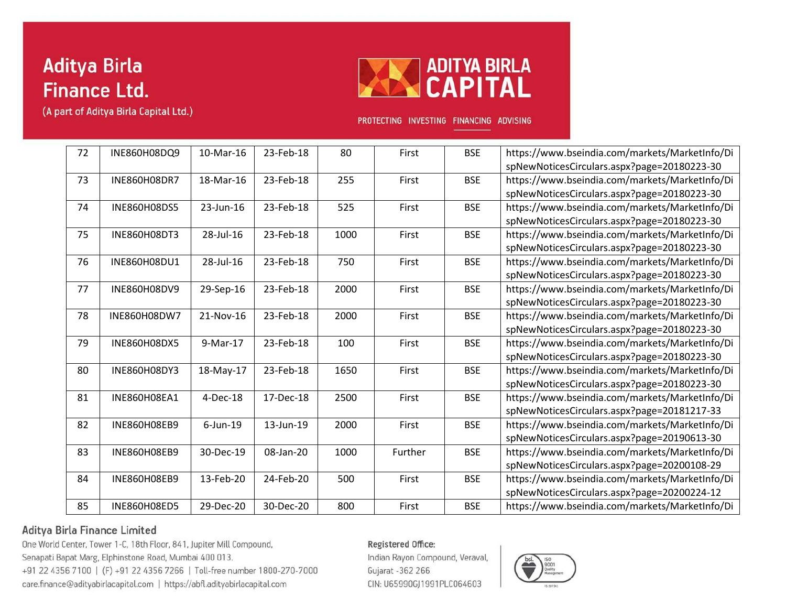



PROTECTING INVESTING FINANCING ADVISING

| 72 | INE860H08DQ9        | 10-Mar-16   | 23-Feb-18 | 80   | First   | <b>BSE</b> | https://www.bseindia.com/markets/MarketInfo/Di |
|----|---------------------|-------------|-----------|------|---------|------------|------------------------------------------------|
|    |                     |             |           |      |         |            | spNewNoticesCirculars.aspx?page=20180223-30    |
| 73 | INE860H08DR7        | 18-Mar-16   | 23-Feb-18 | 255  | First   | <b>BSE</b> | https://www.bseindia.com/markets/MarketInfo/Di |
|    |                     |             |           |      |         |            | spNewNoticesCirculars.aspx?page=20180223-30    |
| 74 | INE860H08DS5        | 23-Jun-16   | 23-Feb-18 | 525  | First   | <b>BSE</b> | https://www.bseindia.com/markets/MarketInfo/Di |
|    |                     |             |           |      |         |            | spNewNoticesCirculars.aspx?page=20180223-30    |
| 75 | INE860H08DT3        | 28-Jul-16   | 23-Feb-18 | 1000 | First   | <b>BSE</b> | https://www.bseindia.com/markets/MarketInfo/Di |
|    |                     |             |           |      |         |            | spNewNoticesCirculars.aspx?page=20180223-30    |
| 76 | INE860H08DU1        | 28-Jul-16   | 23-Feb-18 | 750  | First   | <b>BSE</b> | https://www.bseindia.com/markets/MarketInfo/Di |
|    |                     |             |           |      |         |            | spNewNoticesCirculars.aspx?page=20180223-30    |
| 77 | INE860H08DV9        | 29-Sep-16   | 23-Feb-18 | 2000 | First   | <b>BSE</b> | https://www.bseindia.com/markets/MarketInfo/Di |
|    |                     |             |           |      |         |            | spNewNoticesCirculars.aspx?page=20180223-30    |
| 78 | INE860H08DW7        | 21-Nov-16   | 23-Feb-18 | 2000 | First   | <b>BSE</b> | https://www.bseindia.com/markets/MarketInfo/Di |
|    |                     |             |           |      |         |            | spNewNoticesCirculars.aspx?page=20180223-30    |
| 79 | INE860H08DX5        | 9-Mar-17    | 23-Feb-18 | 100  | First   | <b>BSE</b> | https://www.bseindia.com/markets/MarketInfo/Di |
|    |                     |             |           |      |         |            | spNewNoticesCirculars.aspx?page=20180223-30    |
| 80 | INE860H08DY3        | 18-May-17   | 23-Feb-18 | 1650 | First   | <b>BSE</b> | https://www.bseindia.com/markets/MarketInfo/Di |
|    |                     |             |           |      |         |            | spNewNoticesCirculars.aspx?page=20180223-30    |
| 81 | <b>INE860H08EA1</b> | 4-Dec-18    | 17-Dec-18 | 2500 | First   | <b>BSE</b> | https://www.bseindia.com/markets/MarketInfo/Di |
|    |                     |             |           |      |         |            | spNewNoticesCirculars.aspx?page=20181217-33    |
| 82 | <b>INE860H08EB9</b> | $6$ -Jun-19 | 13-Jun-19 | 2000 | First   | <b>BSE</b> | https://www.bseindia.com/markets/MarketInfo/Di |
|    |                     |             |           |      |         |            | spNewNoticesCirculars.aspx?page=20190613-30    |
| 83 | <b>INE860H08EB9</b> | 30-Dec-19   | 08-Jan-20 | 1000 | Further | <b>BSE</b> | https://www.bseindia.com/markets/MarketInfo/Di |
|    |                     |             |           |      |         |            | spNewNoticesCirculars.aspx?page=20200108-29    |
| 84 | INE860H08EB9        | 13-Feb-20   | 24-Feb-20 | 500  | First   | <b>BSE</b> | https://www.bseindia.com/markets/MarketInfo/Di |
|    |                     |             |           |      |         |            | spNewNoticesCirculars.aspx?page=20200224-12    |
|    |                     |             |           |      |         |            |                                                |
| 85 | <b>INE860H08ED5</b> | 29-Dec-20   | 30-Dec-20 | 800  | First   | <b>BSE</b> | https://www.bseindia.com/markets/MarketInfo/Di |

### Aditya Birla Finance Limited

One World Center, Tower 1-C, 18th Floor, 841, Jupiter Mill Compound, Senapati Bapat Marg, Elphinstone Road, Mumbai 400 013. +91 22 4356 7100 | (F) +91 22 4356 7266 | Toll-free number 1800-270-7000 care.finance@adityabirlacapital.com | https://abfl.adityabirlacapital.com

#### Registered Office: